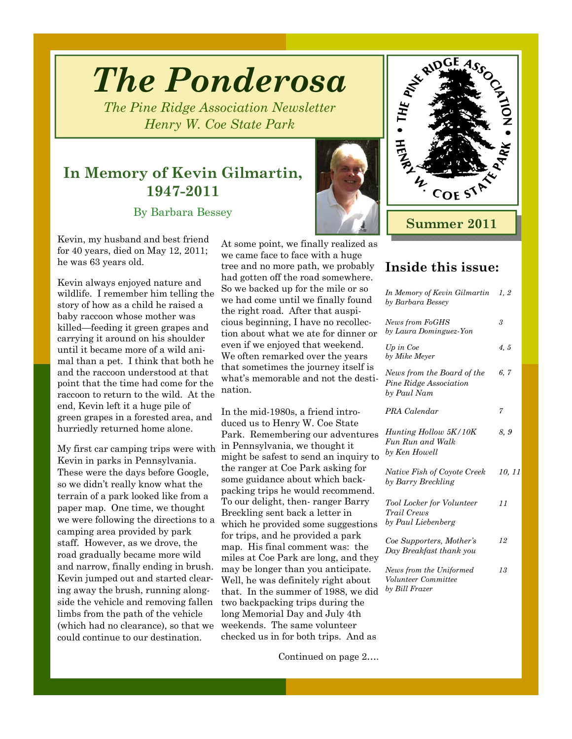# *The Ponderosa*

*The Pine Ridge Association Newsletter Henry W. Coe State Park* 

### **In Memory of Kevin Gilmartin, 1947-2011**

By Barbara Bessey

Kevin, my husband and best friend for 40 years, died on May 12, 2011; he was 63 years old.

Kevin always enjoyed nature and wildlife. I remember him telling the story of how as a child he raised a baby raccoon whose mother was killed—feeding it green grapes and carrying it around on his shoulder until it became more of a wild animal than a pet. I think that both he and the raccoon understood at that point that the time had come for the raccoon to return to the wild. At the end, Kevin left it a huge pile of green grapes in a forested area, and hurriedly returned home alone.

My first car camping trips were with Kevin in parks in Pennsylvania. These were the days before Google, so we didn't really know what the terrain of a park looked like from a paper map. One time, we thought we were following the directions to a camping area provided by park staff. However, as we drove, the road gradually became more wild and narrow, finally ending in brush. Kevin jumped out and started clearing away the brush, running alongside the vehicle and removing fallen limbs from the path of the vehicle (which had no clearance), so that we could continue to our destination.

At some point, we finally realized as we came face to face with a huge tree and no more path, we probably had gotten off the road somewhere. So we backed up for the mile or so we had come until we finally found the right road. After that auspicious beginning, I have no recollection about what we ate for dinner or even if we enjoyed that weekend. We often remarked over the years that sometimes the journey itself is what's memorable and not the destination.

In the mid-1980s, a friend introduced us to Henry W. Coe State Park. Remembering our adventures in Pennsylvania, we thought it might be safest to send an inquiry to the ranger at Coe Park asking for some guidance about which backpacking trips he would recommend. To our delight, then- ranger Barry Breckling sent back a letter in which he provided some suggestions for trips, and he provided a park map. His final comment was: the miles at Coe Park are long, and they may be longer than you anticipate. Well, he was definitely right about that. In the summer of 1988, we did two backpacking trips during the long Memorial Day and July 4th weekends. The same volunteer checked us in for both trips. And as

Continued on page 2….



### **Inside this issue:**

| In Memory of Kevin Gilmartin<br>by Barbara Bessey                   | 1, 2   |
|---------------------------------------------------------------------|--------|
| News from FoGHS<br>by Laura Dominguez-Yon                           | 3      |
| Up in Coe<br>by Mike Meyer                                          | 4, 5   |
| News from the Board of the<br>Pine Ridge Association<br>by Paul Nam | 6,7    |
| PRA Calendar                                                        | 7      |
| Hunting Hollow 5K/10K<br>Fun Run and Walk<br>by Ken Howell          | 8,9    |
| Native Fish of Coyote Creek<br>by Barry Breckling                   | 10, 11 |
| Tool Locker for Volunteer<br>Trail Crews<br>by Paul Liebenberg      | 11     |
| Coe Supporters, Mother's<br>Day Breakfast thank you                 | 12     |
| News from the Uniformed<br>Volunteer Committee<br>by Bill Frazer    | 13     |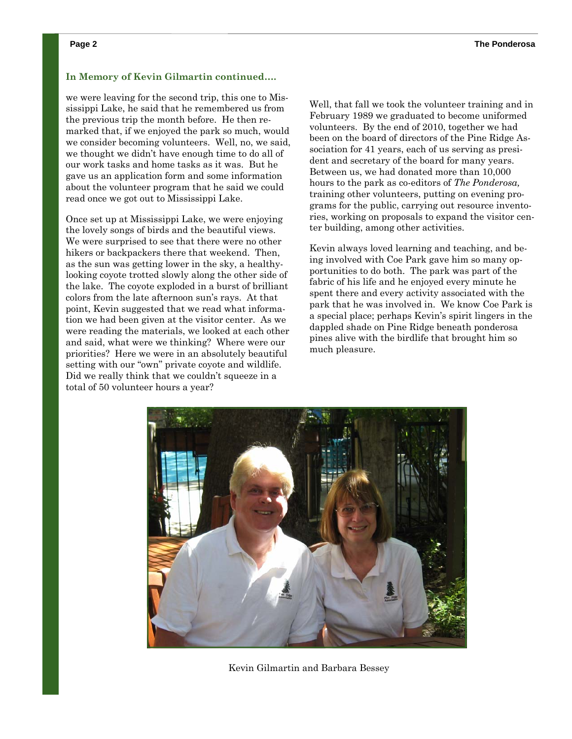#### **In Memory of Kevin Gilmartin continued….**

we were leaving for the second trip, this one to Mississippi Lake, he said that he remembered us from the previous trip the month before. He then remarked that, if we enjoyed the park so much, would we consider becoming volunteers. Well, no, we said, we thought we didn't have enough time to do all of our work tasks and home tasks as it was. But he gave us an application form and some information about the volunteer program that he said we could read once we got out to Mississippi Lake.

Once set up at Mississippi Lake, we were enjoying the lovely songs of birds and the beautiful views. We were surprised to see that there were no other hikers or backpackers there that weekend. Then, as the sun was getting lower in the sky, a healthylooking coyote trotted slowly along the other side of the lake. The coyote exploded in a burst of brilliant colors from the late afternoon sun's rays. At that point, Kevin suggested that we read what information we had been given at the visitor center. As we were reading the materials, we looked at each other and said, what were we thinking? Where were our priorities? Here we were in an absolutely beautiful setting with our "own" private coyote and wildlife. Did we really think that we couldn't squeeze in a total of 50 volunteer hours a year?

Well, that fall we took the volunteer training and in February 1989 we graduated to become uniformed volunteers. By the end of 2010, together we had been on the board of directors of the Pine Ridge Association for 41 years, each of us serving as president and secretary of the board for many years. Between us, we had donated more than 10,000 hours to the park as co-editors of *The Ponderosa,* training other volunteers, putting on evening programs for the public, carrying out resource inventories, working on proposals to expand the visitor center building, among other activities.

Kevin always loved learning and teaching, and being involved with Coe Park gave him so many opportunities to do both. The park was part of the fabric of his life and he enjoyed every minute he spent there and every activity associated with the park that he was involved in. We know Coe Park is a special place; perhaps Kevin's spirit lingers in the dappled shade on Pine Ridge beneath ponderosa pines alive with the birdlife that brought him so much pleasure.



Kevin Gilmartin and Barbara Bessey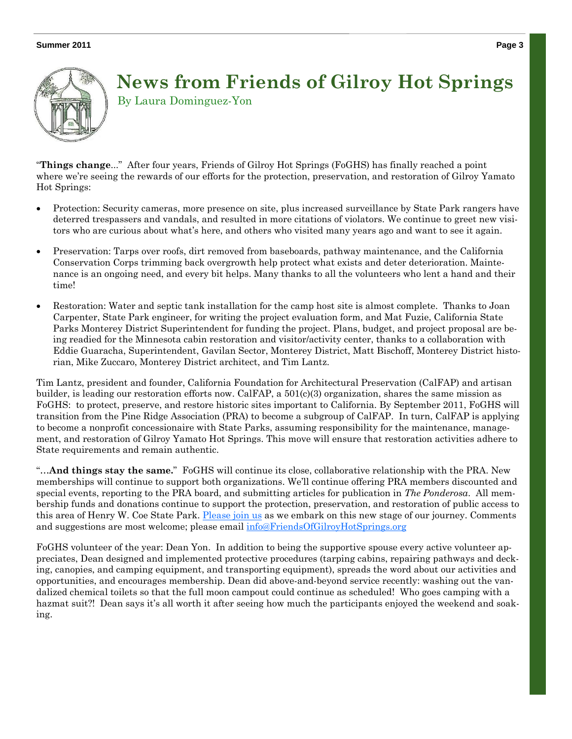

### **News from Friends of Gilroy Hot Springs**  By Laura Dominguez-Yon

"**Things change**..." After four years, Friends of Gilroy Hot Springs (FoGHS) has finally reached a point where we're seeing the rewards of our efforts for the protection, preservation, and restoration of Gilroy Yamato Hot Springs:

- Protection: Security cameras, more presence on site, plus increased surveillance by State Park rangers have deterred trespassers and vandals, and resulted in more citations of violators. We continue to greet new visitors who are curious about what's here, and others who visited many years ago and want to see it again.
- Preservation: Tarps over roofs, dirt removed from baseboards, pathway maintenance, and the California Conservation Corps trimming back overgrowth help protect what exists and deter deterioration. Maintenance is an ongoing need, and every bit helps. Many thanks to all the volunteers who lent a hand and their time!
- Restoration: Water and septic tank installation for the camp host site is almost complete. Thanks to Joan Carpenter, State Park engineer, for writing the project evaluation form, and Mat Fuzie, California State Parks Monterey District Superintendent for funding the project. Plans, budget, and project proposal are being readied for the Minnesota cabin restoration and visitor/activity center, thanks to a collaboration with Eddie Guaracha, Superintendent, Gavilan Sector, Monterey District, Matt Bischoff, Monterey District historian, Mike Zuccaro, Monterey District architect, and Tim Lantz.

Tim Lantz, president and founder, California Foundation for Architectural Preservation (CalFAP) and artisan builder, is leading our restoration efforts now. CalFAP, a 501(c)(3) organization, shares the same mission as FoGHS: to protect, preserve, and restore historic sites important to California. By September 2011, FoGHS will transition from the Pine Ridge Association (PRA) to become a subgroup of CalFAP. In turn, CalFAP is applying to become a nonprofit concessionaire with State Parks, assuming responsibility for the maintenance, management, and restoration of Gilroy Yamato Hot Springs. This move will ensure that restoration activities adhere to State requirements and remain authentic.

"…**And things stay the same.**" FoGHS will continue its close, collaborative relationship with the PRA. New memberships will continue to support both organizations. We'll continue offering PRA members discounted and special events, reporting to the PRA board, and submitting articles for publication in *The Ponderosa*. All membership funds and donations continue to support the protection, preservation, and restoration of public access to this area of Henry W. Coe State Park. Please join us as we embark on this new stage of our journey. Comments and suggestions are most welcome; please email info@FriendsOfGilroyHotSprings.org

FoGHS volunteer of the year: Dean Yon. In addition to being the supportive spouse every active volunteer appreciates, Dean designed and implemented protective procedures (tarping cabins, repairing pathways and decking, canopies, and camping equipment, and transporting equipment), spreads the word about our activities and opportunities, and encourages membership. Dean did above-and-beyond service recently: washing out the vandalized chemical toilets so that the full moon campout could continue as scheduled! Who goes camping with a hazmat suit?! Dean says it's all worth it after seeing how much the participants enjoyed the weekend and soaking.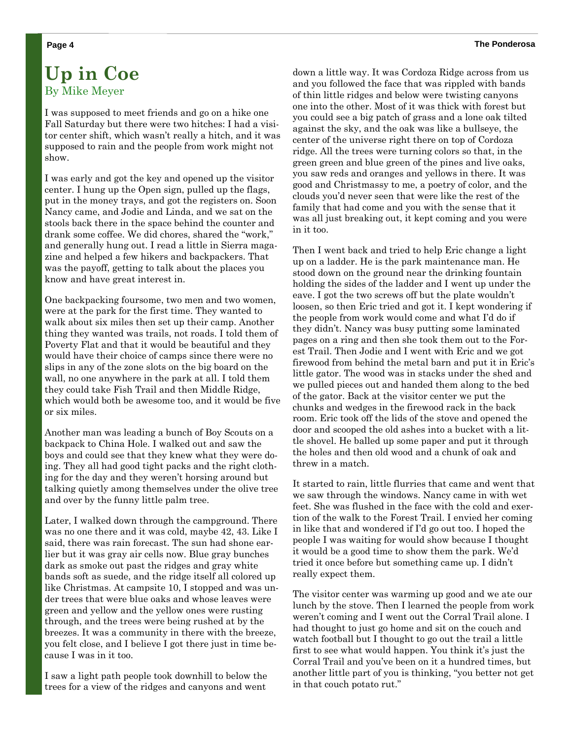### **Up in Coe**  By Mike Meyer

I was supposed to meet friends and go on a hike one Fall Saturday but there were two hitches: I had a visitor center shift, which wasn't really a hitch, and it was supposed to rain and the people from work might not show.

I was early and got the key and opened up the visitor center. I hung up the Open sign, pulled up the flags, put in the money trays, and got the registers on. Soon Nancy came, and Jodie and Linda, and we sat on the stools back there in the space behind the counter and drank some coffee. We did chores, shared the "work," and generally hung out. I read a little in Sierra magazine and helped a few hikers and backpackers. That was the payoff, getting to talk about the places you know and have great interest in.

One backpacking foursome, two men and two women, were at the park for the first time. They wanted to walk about six miles then set up their camp. Another thing they wanted was trails, not roads. I told them of Poverty Flat and that it would be beautiful and they would have their choice of camps since there were no slips in any of the zone slots on the big board on the wall, no one anywhere in the park at all. I told them they could take Fish Trail and then Middle Ridge, which would both be awesome too, and it would be five or six miles.

Another man was leading a bunch of Boy Scouts on a backpack to China Hole. I walked out and saw the boys and could see that they knew what they were doing. They all had good tight packs and the right clothing for the day and they weren't horsing around but talking quietly among themselves under the olive tree and over by the funny little palm tree.

Later, I walked down through the campground. There was no one there and it was cold, maybe 42, 43. Like I said, there was rain forecast. The sun had shone earlier but it was gray air cells now. Blue gray bunches dark as smoke out past the ridges and gray white bands soft as suede, and the ridge itself all colored up like Christmas. At campsite 10, I stopped and was under trees that were blue oaks and whose leaves were green and yellow and the yellow ones were rusting through, and the trees were being rushed at by the breezes. It was a community in there with the breeze, you felt close, and I believe I got there just in time because I was in it too.

I saw a light path people took downhill to below the trees for a view of the ridges and canyons and went

down a little way. It was Cordoza Ridge across from us and you followed the face that was rippled with bands of thin little ridges and below were twisting canyons one into the other. Most of it was thick with forest but you could see a big patch of grass and a lone oak tilted against the sky, and the oak was like a bullseye, the center of the universe right there on top of Cordoza ridge. All the trees were turning colors so that, in the green green and blue green of the pines and live oaks, you saw reds and oranges and yellows in there. It was good and Christmassy to me, a poetry of color, and the clouds you'd never seen that were like the rest of the family that had come and you with the sense that it was all just breaking out, it kept coming and you were in it too.

Then I went back and tried to help Eric change a light up on a ladder. He is the park maintenance man. He stood down on the ground near the drinking fountain holding the sides of the ladder and I went up under the eave. I got the two screws off but the plate wouldn't loosen, so then Eric tried and got it. I kept wondering if the people from work would come and what I'd do if they didn't. Nancy was busy putting some laminated pages on a ring and then she took them out to the Forest Trail. Then Jodie and I went with Eric and we got firewood from behind the metal barn and put it in Eric's little gator. The wood was in stacks under the shed and we pulled pieces out and handed them along to the bed of the gator. Back at the visitor center we put the chunks and wedges in the firewood rack in the back room. Eric took off the lids of the stove and opened the door and scooped the old ashes into a bucket with a little shovel. He balled up some paper and put it through the holes and then old wood and a chunk of oak and threw in a match.

It started to rain, little flurries that came and went that we saw through the windows. Nancy came in with wet feet. She was flushed in the face with the cold and exertion of the walk to the Forest Trail. I envied her coming in like that and wondered if I'd go out too. I hoped the people I was waiting for would show because I thought it would be a good time to show them the park. We'd tried it once before but something came up. I didn't really expect them.

The visitor center was warming up good and we ate our lunch by the stove. Then I learned the people from work weren't coming and I went out the Corral Trail alone. I had thought to just go home and sit on the couch and watch football but I thought to go out the trail a little first to see what would happen. You think it's just the Corral Trail and you've been on it a hundred times, but another little part of you is thinking, "you better not get in that couch potato rut."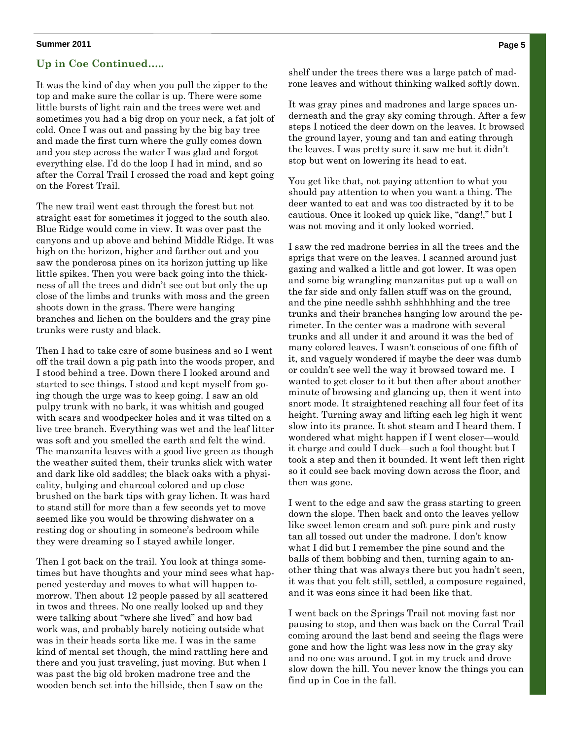#### **Up in Coe Continued…..**

It was the kind of day when you pull the zipper to the top and make sure the collar is up. There were some little bursts of light rain and the trees were wet and sometimes you had a big drop on your neck, a fat jolt of cold. Once I was out and passing by the big bay tree and made the first turn where the gully comes down and you step across the water I was glad and forgot everything else. I'd do the loop I had in mind, and so after the Corral Trail I crossed the road and kept going on the Forest Trail.

The new trail went east through the forest but not straight east for sometimes it jogged to the south also. Blue Ridge would come in view. It was over past the canyons and up above and behind Middle Ridge. It was high on the horizon, higher and farther out and you saw the ponderosa pines on its horizon jutting up like little spikes. Then you were back going into the thickness of all the trees and didn't see out but only the up close of the limbs and trunks with moss and the green shoots down in the grass. There were hanging branches and lichen on the boulders and the gray pine trunks were rusty and black.

Then I had to take care of some business and so I went off the trail down a pig path into the woods proper, and I stood behind a tree. Down there I looked around and started to see things. I stood and kept myself from going though the urge was to keep going. I saw an old pulpy trunk with no bark, it was whitish and gouged with scars and woodpecker holes and it was tilted on a live tree branch. Everything was wet and the leaf litter was soft and you smelled the earth and felt the wind. The manzanita leaves with a good live green as though the weather suited them, their trunks slick with water and dark like old saddles; the black oaks with a physicality, bulging and charcoal colored and up close brushed on the bark tips with gray lichen. It was hard to stand still for more than a few seconds yet to move seemed like you would be throwing dishwater on a resting dog or shouting in someone's bedroom while they were dreaming so I stayed awhile longer.

Then I got back on the trail. You look at things sometimes but have thoughts and your mind sees what happened yesterday and moves to what will happen tomorrow. Then about 12 people passed by all scattered in twos and threes. No one really looked up and they were talking about "where she lived" and how bad work was, and probably barely noticing outside what was in their heads sorta like me. I was in the same kind of mental set though, the mind rattling here and there and you just traveling, just moving. But when I was past the big old broken madrone tree and the wooden bench set into the hillside, then I saw on the

shelf under the trees there was a large patch of madrone leaves and without thinking walked softly down.

It was gray pines and madrones and large spaces underneath and the gray sky coming through. After a few steps I noticed the deer down on the leaves. It browsed the ground layer, young and tan and eating through the leaves. I was pretty sure it saw me but it didn't stop but went on lowering its head to eat.

You get like that, not paying attention to what you should pay attention to when you want a thing. The deer wanted to eat and was too distracted by it to be cautious. Once it looked up quick like, "dang!," but I was not moving and it only looked worried.

I saw the red madrone berries in all the trees and the sprigs that were on the leaves. I scanned around just gazing and walked a little and got lower. It was open and some big wrangling manzanitas put up a wall on the far side and only fallen stuff was on the ground, and the pine needle sshhh sshhhhhing and the tree trunks and their branches hanging low around the perimeter. In the center was a madrone with several trunks and all under it and around it was the bed of many colored leaves. I wasn't conscious of one fifth of it, and vaguely wondered if maybe the deer was dumb or couldn't see well the way it browsed toward me. I wanted to get closer to it but then after about another minute of browsing and glancing up, then it went into snort mode. It straightened reaching all four feet of its height. Turning away and lifting each leg high it went slow into its prance. It shot steam and I heard them. I wondered what might happen if I went closer—would it charge and could I duck—such a fool thought but I took a step and then it bounded. It went left then right so it could see back moving down across the floor, and then was gone.

I went to the edge and saw the grass starting to green down the slope. Then back and onto the leaves yellow like sweet lemon cream and soft pure pink and rusty tan all tossed out under the madrone. I don't know what I did but I remember the pine sound and the balls of them bobbing and then, turning again to another thing that was always there but you hadn't seen, it was that you felt still, settled, a composure regained, and it was eons since it had been like that.

I went back on the Springs Trail not moving fast nor pausing to stop, and then was back on the Corral Trail coming around the last bend and seeing the flags were gone and how the light was less now in the gray sky and no one was around. I got in my truck and drove slow down the hill. You never know the things you can find up in Coe in the fall.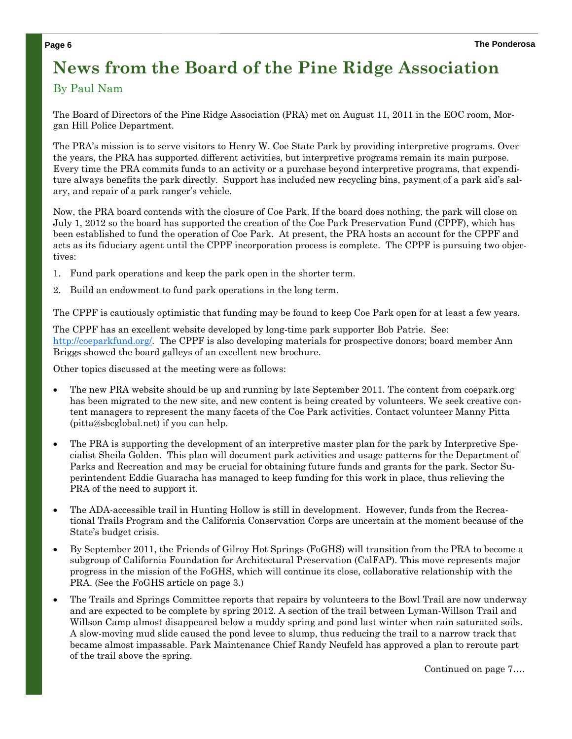### **News from the Board of the Pine Ridge Association**

#### By Paul Nam

The Board of Directors of the Pine Ridge Association (PRA) met on August 11, 2011 in the EOC room, Morgan Hill Police Department.

The PRA's mission is to serve visitors to Henry W. Coe State Park by providing interpretive programs. Over the years, the PRA has supported different activities, but interpretive programs remain its main purpose. Every time the PRA commits funds to an activity or a purchase beyond interpretive programs, that expenditure always benefits the park directly. Support has included new recycling bins, payment of a park aid's salary, and repair of a park ranger's vehicle.

Now, the PRA board contends with the closure of Coe Park. If the board does nothing, the park will close on July 1, 2012 so the board has supported the creation of the Coe Park Preservation Fund (CPPF), which has been established to fund the operation of Coe Park. At present, the PRA hosts an account for the CPPF and acts as its fiduciary agent until the CPPF incorporation process is complete. The CPPF is pursuing two objectives:

- 1. Fund park operations and keep the park open in the shorter term.
- Build an endowment to fund park operations in the long term.

The CPPF is cautiously optimistic that funding may be found to keep Coe Park open for at least a few years.

The CPPF has an excellent website developed by long-time park supporter Bob Patrie. See: http://coeparkfund.org/. The CPPF is also developing materials for prospective donors; board member Ann Briggs showed the board galleys of an excellent new brochure.

Other topics discussed at the meeting were as follows:

- The new PRA website should be up and running by late September 2011. The content from coepark.org has been migrated to the new site, and new content is being created by volunteers. We seek creative content managers to represent the many facets of the Coe Park activities. Contact volunteer Manny Pitta (pitta@sbcglobal.net) if you can help.
- The PRA is supporting the development of an interpretive master plan for the park by Interpretive Specialist Sheila Golden. This plan will document park activities and usage patterns for the Department of Parks and Recreation and may be crucial for obtaining future funds and grants for the park. Sector Superintendent Eddie Guaracha has managed to keep funding for this work in place, thus relieving the PRA of the need to support it.
- The ADA-accessible trail in Hunting Hollow is still in development. However, funds from the Recreational Trails Program and the California Conservation Corps are uncertain at the moment because of the State's budget crisis.
- By September 2011, the Friends of Gilroy Hot Springs (FoGHS) will transition from the PRA to become a subgroup of California Foundation for Architectural Preservation (CalFAP). This move represents major progress in the mission of the FoGHS, which will continue its close, collaborative relationship with the PRA. (See the FoGHS article on page 3.)
- The Trails and Springs Committee reports that repairs by volunteers to the Bowl Trail are now underway and are expected to be complete by spring 2012. A section of the trail between Lyman-Willson Trail and Willson Camp almost disappeared below a muddy spring and pond last winter when rain saturated soils. A slow-moving mud slide caused the pond levee to slump, thus reducing the trail to a narrow track that became almost impassable. Park Maintenance Chief Randy Neufeld has approved a plan to reroute part of the trail above the spring.

Continued on page 7….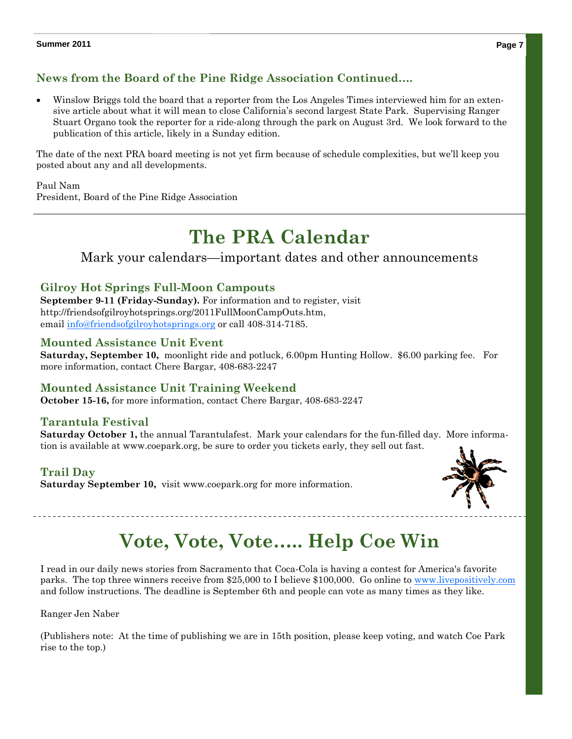### **News from the Board of the Pine Ridge Association Continued….**

 Winslow Briggs told the board that a reporter from the Los Angeles Times interviewed him for an extensive article about what it will mean to close California's second largest State Park. Supervising Ranger Stuart Organo took the reporter for a ride-along through the park on August 3rd. We look forward to the publication of this article, likely in a Sunday edition.

The date of the next PRA board meeting is not yet firm because of schedule complexities, but we'll keep you posted about any and all developments.

Paul Nam

President, Board of the Pine Ridge Association

### **The PRA Calendar**

Mark your calendars—important dates and other announcements

#### **Gilroy Hot Springs Full-Moon Campouts**

**September 9-11 (Friday-Sunday).** For information and to register, visit http://friendsofgilroyhotsprings.org/2011FullMoonCampOuts.htm, email info@friendsofgilroyhotsprings.org or call 408-314-7185.

#### **Mounted Assistance Unit Event**

**Saturday, September 10,** moonlight ride and potluck, 6.00pm Hunting Hollow. \$6.00 parking fee. For more information, contact Chere Bargar, 408-683-2247

#### **Mounted Assistance Unit Training Weekend**

**October 15-16,** for more information, contact Chere Bargar, 408-683-2247

#### **Tarantula Festival**

**Saturday October 1,** the annual Tarantulafest. Mark your calendars for the fun-filled day. More information is available at www.coepark.org, be sure to order you tickets early, they sell out fast.

### **Trail Day**

**Saturday September 10,** visit www.coepark.org for more information.



## **Vote, Vote, Vote….. Help Coe Win**

I read in our daily news stories from Sacramento that Coca-Cola is having a contest for America's favorite parks. The top three winners receive from \$25,000 to I believe \$100,000. Go online to www.livepositively.com and follow instructions. The deadline is September 6th and people can vote as many times as they like.

Ranger Jen Naber

(Publishers note: At the time of publishing we are in 15th position, please keep voting, and watch Coe Park rise to the top.)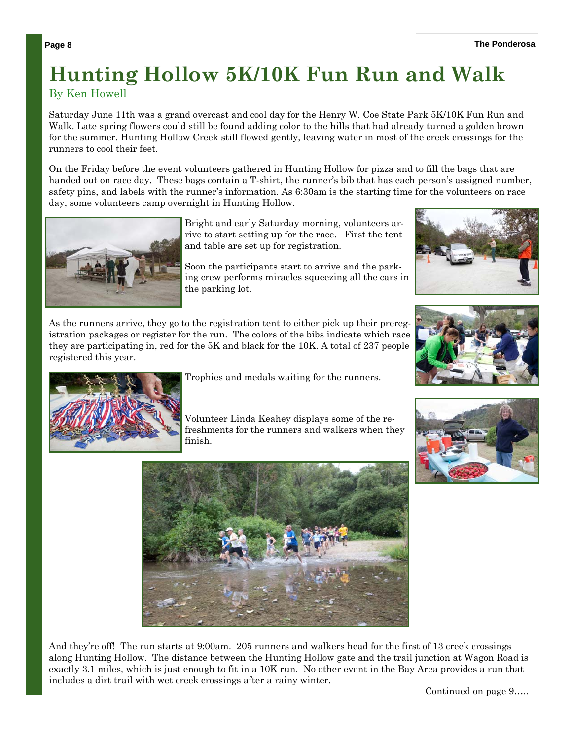### **Hunting Hollow 5K/10K Fun Run and Walk**  By Ken Howell

Saturday June 11th was a grand overcast and cool day for the Henry W. Coe State Park 5K/10K Fun Run and Walk. Late spring flowers could still be found adding color to the hills that had already turned a golden brown for the summer. Hunting Hollow Creek still flowed gently, leaving water in most of the creek crossings for the runners to cool their feet.

On the Friday before the event volunteers gathered in Hunting Hollow for pizza and to fill the bags that are handed out on race day. These bags contain a T-shirt, the runner's bib that has each person's assigned number, safety pins, and labels with the runner's information. As 6:30am is the starting time for the volunteers on race day, some volunteers camp overnight in Hunting Hollow.



Bright and early Saturday morning, volunteers arrive to start setting up for the race. First the tent and table are set up for registration.

Soon the participants start to arrive and the parking crew performs miracles squeezing all the cars in the parking lot.

As the runners arrive, they go to the registration tent to either pick up their preregistration packages or register for the run. The colors of the bibs indicate which race they are participating in, red for the 5K and black for the 10K. A total of 237 people registered this year.





Trophies and medals waiting for the runners.

Volunteer Linda Keahey displays some of the refreshments for the runners and walkers when they finish.



And they're off! The run starts at 9:00am. 205 runners and walkers head for the first of 13 creek crossings along Hunting Hollow. The distance between the Hunting Hollow gate and the trail junction at Wagon Road is exactly 3.1 miles, which is just enough to fit in a 10K run. No other event in the Bay Area provides a run that includes a dirt trail with wet creek crossings after a rainy winter.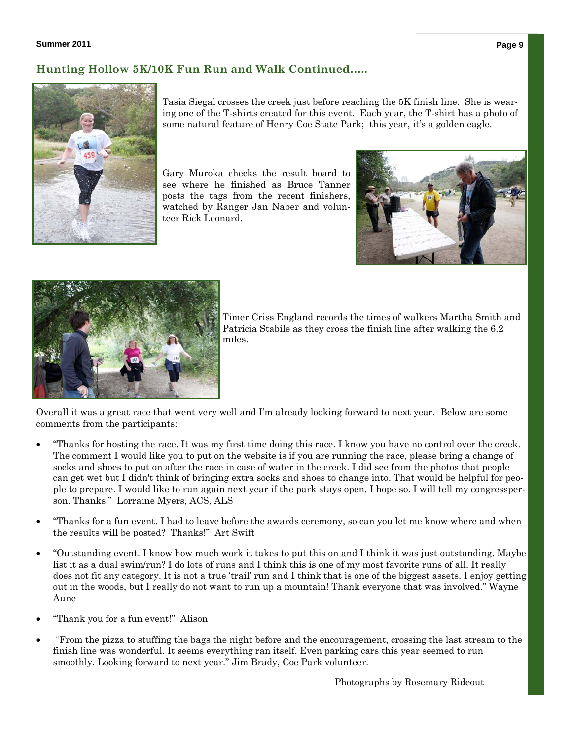#### **Hunting Hollow 5K/10K Fun Run and Walk Continued…..**



Tasia Siegal crosses the creek just before reaching the 5K finish line. She is wearing one of the T-shirts created for this event. Each year, the T-shirt has a photo of some natural feature of Henry Coe State Park; this year, it's a golden eagle.

Gary Muroka checks the result board to see where he finished as Bruce Tanner posts the tags from the recent finishers, watched by Ranger Jan Naber and volunteer Rick Leonard.





Timer Criss England records the times of walkers Martha Smith and Patricia Stabile as they cross the finish line after walking the 6.2 miles.

Overall it was a great race that went very well and I'm already looking forward to next year. Below are some comments from the participants:

- "Thanks for hosting the race. It was my first time doing this race. I know you have no control over the creek. The comment I would like you to put on the website is if you are running the race, please bring a change of socks and shoes to put on after the race in case of water in the creek. I did see from the photos that people can get wet but I didn't think of bringing extra socks and shoes to change into. That would be helpful for people to prepare. I would like to run again next year if the park stays open. I hope so. I will tell my congressperson. Thanks." Lorraine Myers, ACS, ALS
- "Thanks for a fun event. I had to leave before the awards ceremony, so can you let me know where and when the results will be posted? Thanks!" Art Swift
- "Outstanding event. I know how much work it takes to put this on and I think it was just outstanding. Maybe list it as a dual swim/run? I do lots of runs and I think this is one of my most favorite runs of all. It really does not fit any category. It is not a true 'trail' run and I think that is one of the biggest assets. I enjoy getting out in the woods, but I really do not want to run up a mountain! Thank everyone that was involved." Wayne Aune
- "Thank you for a fun event!" Alison
- "From the pizza to stuffing the bags the night before and the encouragement, crossing the last stream to the finish line was wonderful. It seems everything ran itself. Even parking cars this year seemed to run smoothly. Looking forward to next year." Jim Brady, Coe Park volunteer.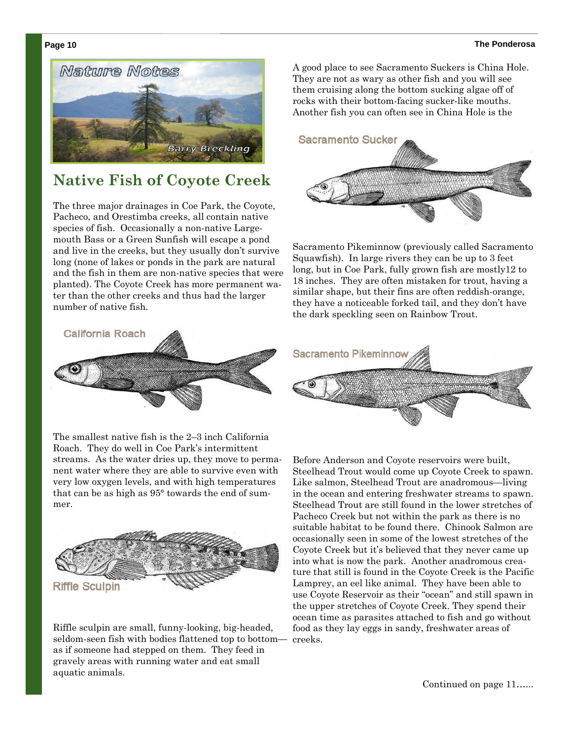#### **Page 10 The Ponderosa**



### **Native Fish of Coyote Creek**

The three major drainages in Coe Park, the Coyote, Pacheco, and Orestimba creeks, all contain native species of fish. Occasionally a non-native Largemouth Bass or a Green Sunfish will escape a pond and live in the creeks, but they usually don't survive long (none of lakes or ponds in the park are natural and the fish in them are non-native species that were planted). The Coyote Creek has more permanent water than the other creeks and thus had the larger number of native fish.



The smallest native fish is the 2–3 inch California Roach. They do well in Coe Park's intermittent streams. As the water dries up, they move to permanent water where they are able to survive even with very low oxygen levels, and with high temperatures that can be as high as 95° towards the end of summer.



Riffle sculpin are small, funny-looking, big-headed, seldom-seen fish with bodies flattened top to bottom as if someone had stepped on them. They feed in gravely areas with running water and eat small aquatic animals.

A good place to see Sacramento Suckers is China Hole. They are not as wary as other fish and you will see them cruising along the bottom sucking algae off of rocks with their bottom-facing sucker-like mouths. Another fish you can often see in China Hole is the



Sacramento Pikeminnow (previously called Sacramento Squawfish). In large rivers they can be up to 3 feet long, but in Coe Park, fully grown fish are mostly12 to 18 inches. They are often mistaken for trout, having a similar shape, but their fins are often reddish-orange, they have a noticeable forked tail, and they don't have the dark speckling seen on Rainbow Trout.



Before Anderson and Coyote reservoirs were built, Steelhead Trout would come up Coyote Creek to spawn. Like salmon, Steelhead Trout are anadromous—living in the ocean and entering freshwater streams to spawn. Steelhead Trout are still found in the lower stretches of Pacheco Creek but not within the park as there is no suitable habitat to be found there. Chinook Salmon are occasionally seen in some of the lowest stretches of the Coyote Creek but it's believed that they never came up into what is now the park. Another anadromous creature that still is found in the Coyote Creek is the Pacific Lamprey, an eel like animal. They have been able to use Coyote Reservoir as their "ocean" and still spawn in the upper stretches of Coyote Creek. They spend their ocean time as parasites attached to fish and go without food as they lay eggs in sandy, freshwater areas of creeks.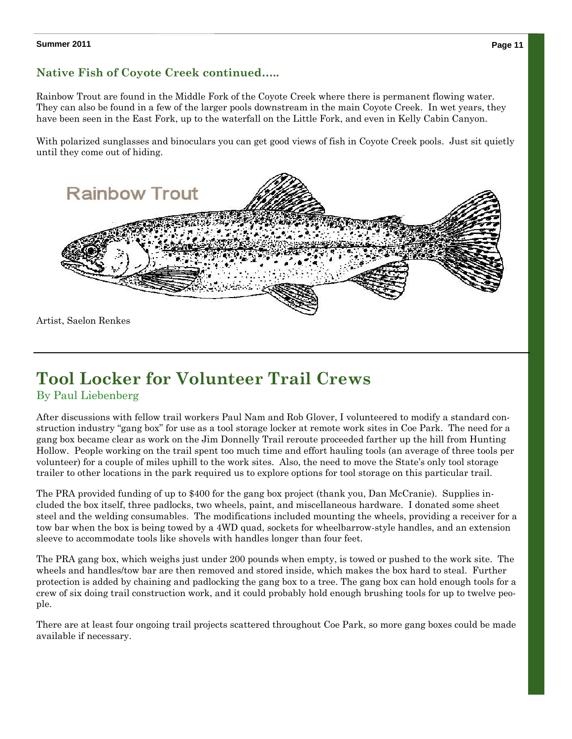#### **Native Fish of Coyote Creek continued…..**

Rainbow Trout are found in the Middle Fork of the Coyote Creek where there is permanent flowing water. They can also be found in a few of the larger pools downstream in the main Coyote Creek. In wet years, they have been seen in the East Fork, up to the waterfall on the Little Fork, and even in Kelly Cabin Canyon.

With polarized sunglasses and binoculars you can get good views of fish in Coyote Creek pools. Just sit quietly until they come out of hiding.



Artist, Saelon Renkes

### **Tool Locker for Volunteer Trail Crews**

#### By Paul Liebenberg

After discussions with fellow trail workers Paul Nam and Rob Glover, I volunteered to modify a standard construction industry "gang box" for use as a tool storage locker at remote work sites in Coe Park. The need for a gang box became clear as work on the Jim Donnelly Trail reroute proceeded farther up the hill from Hunting Hollow. People working on the trail spent too much time and effort hauling tools (an average of three tools per volunteer) for a couple of miles uphill to the work sites. Also, the need to move the State's only tool storage trailer to other locations in the park required us to explore options for tool storage on this particular trail.

The PRA provided funding of up to \$400 for the gang box project (thank you, Dan McCranie). Supplies included the box itself, three padlocks, two wheels, paint, and miscellaneous hardware. I donated some sheet steel and the welding consumables. The modifications included mounting the wheels, providing a receiver for a tow bar when the box is being towed by a 4WD quad, sockets for wheelbarrow-style handles, and an extension sleeve to accommodate tools like shovels with handles longer than four feet.

The PRA gang box, which weighs just under 200 pounds when empty, is towed or pushed to the work site. The wheels and handles/tow bar are then removed and stored inside, which makes the box hard to steal. Further protection is added by chaining and padlocking the gang box to a tree. The gang box can hold enough tools for a crew of six doing trail construction work, and it could probably hold enough brushing tools for up to twelve people.

There are at least four ongoing trail projects scattered throughout Coe Park, so more gang boxes could be made available if necessary.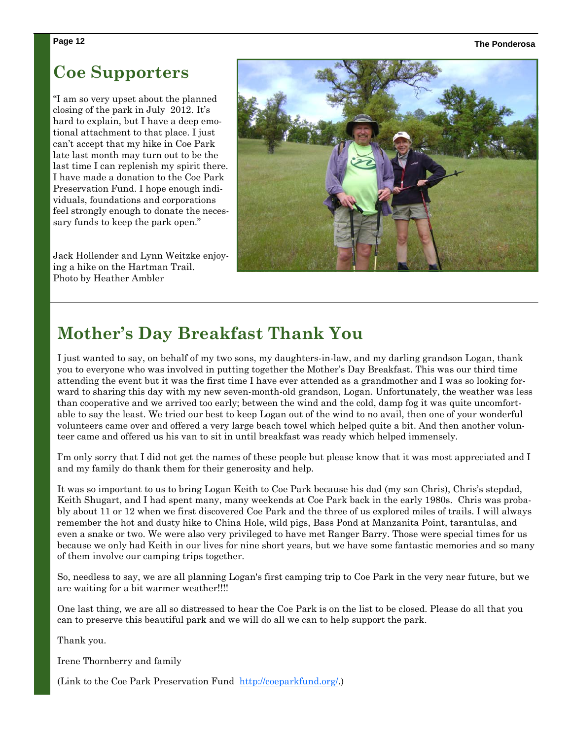#### **Page 12 The Ponderosa**

### **Coe Supporters**

"I am so very upset about the planned closing of the park in July 2012. It's hard to explain, but I have a deep emotional attachment to that place. I just can't accept that my hike in Coe Park late last month may turn out to be the last time I can replenish my spirit there. I have made a donation to the Coe Park Preservation Fund. I hope enough individuals, foundations and corporations feel strongly enough to donate the necessary funds to keep the park open."

Jack Hollender and Lynn Weitzke enjoying a hike on the Hartman Trail. Photo by Heather Ambler



### **Mother's Day Breakfast Thank You**

I just wanted to say, on behalf of my two sons, my daughters-in-law, and my darling grandson Logan, thank you to everyone who was involved in putting together the Mother's Day Breakfast. This was our third time attending the event but it was the first time I have ever attended as a grandmother and I was so looking forward to sharing this day with my new seven-month-old grandson, Logan. Unfortunately, the weather was less than cooperative and we arrived too early; between the wind and the cold, damp fog it was quite uncomfortable to say the least. We tried our best to keep Logan out of the wind to no avail, then one of your wonderful volunteers came over and offered a very large beach towel which helped quite a bit. And then another volunteer came and offered us his van to sit in until breakfast was ready which helped immensely.

I'm only sorry that I did not get the names of these people but please know that it was most appreciated and I and my family do thank them for their generosity and help.

It was so important to us to bring Logan Keith to Coe Park because his dad (my son Chris), Chris's stepdad, Keith Shugart, and I had spent many, many weekends at Coe Park back in the early 1980s. Chris was probably about 11 or 12 when we first discovered Coe Park and the three of us explored miles of trails. I will always remember the hot and dusty hike to China Hole, wild pigs, Bass Pond at Manzanita Point, tarantulas, and even a snake or two. We were also very privileged to have met Ranger Barry. Those were special times for us because we only had Keith in our lives for nine short years, but we have some fantastic memories and so many of them involve our camping trips together.

So, needless to say, we are all planning Logan's first camping trip to Coe Park in the very near future, but we are waiting for a bit warmer weather!!!!

One last thing, we are all so distressed to hear the Coe Park is on the list to be closed. Please do all that you can to preserve this beautiful park and we will do all we can to help support the park.

Thank you.

Irene Thornberry and family

(Link to the Coe Park Preservation Fund http://coeparkfund.org/.)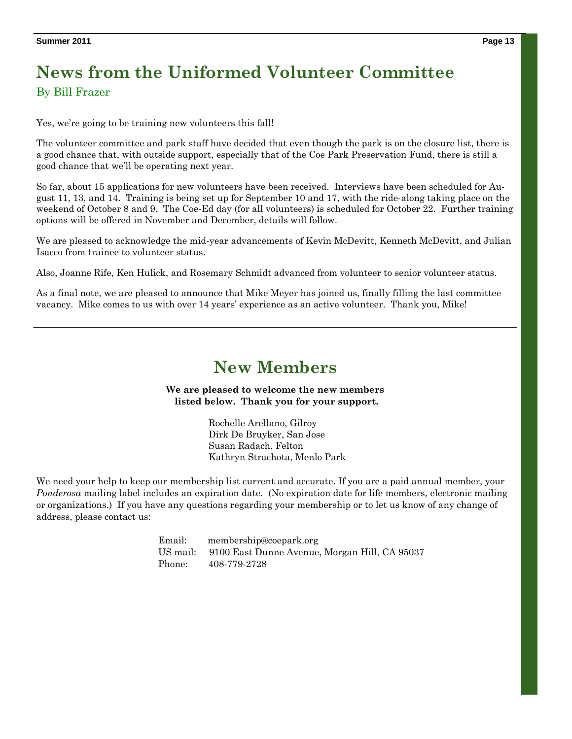## **News from the Uniformed Volunteer Committee**

By Bill Frazer

Yes, we're going to be training new volunteers this fall!

The volunteer committee and park staff have decided that even though the park is on the closure list, there is a good chance that, with outside support, especially that of the Coe Park Preservation Fund, there is still a good chance that we'll be operating next year.

So far, about 15 applications for new volunteers have been received. Interviews have been scheduled for August 11, 13, and 14. Training is being set up for September 10 and 17, with the ride-along taking place on the weekend of October 8 and 9. The Coe-Ed day (for all volunteers) is scheduled for October 22. Further training options will be offered in November and December, details will follow.

We are pleased to acknowledge the mid-year advancements of Kevin McDevitt, Kenneth McDevitt, and Julian Isacco from trainee to volunteer status.

Also, Joanne Rife, Ken Hulick, and Rosemary Schmidt advanced from volunteer to senior volunteer status.

As a final note, we are pleased to announce that Mike Meyer has joined us, finally filling the last committee vacancy. Mike comes to us with over 14 years' experience as an active volunteer. Thank you, Mike!

### **New Members**

**We are pleased to welcome the new members listed below. Thank you for your support.** 

> Rochelle Arellano, Gilroy Dirk De Bruyker, San Jose Susan Radach, Felton Kathryn Strachota, Menlo Park

We need your help to keep our membership list current and accurate. If you are a paid annual member, your *Ponderosa* mailing label includes an expiration date. (No expiration date for life members, electronic mailing or organizations.) If you have any questions regarding your membership or to let us know of any change of address, please contact us:

> Email: membership@coepark.org US mail: 9100 East Dunne Avenue, Morgan Hill, CA 95037 Phone: 408-779-2728